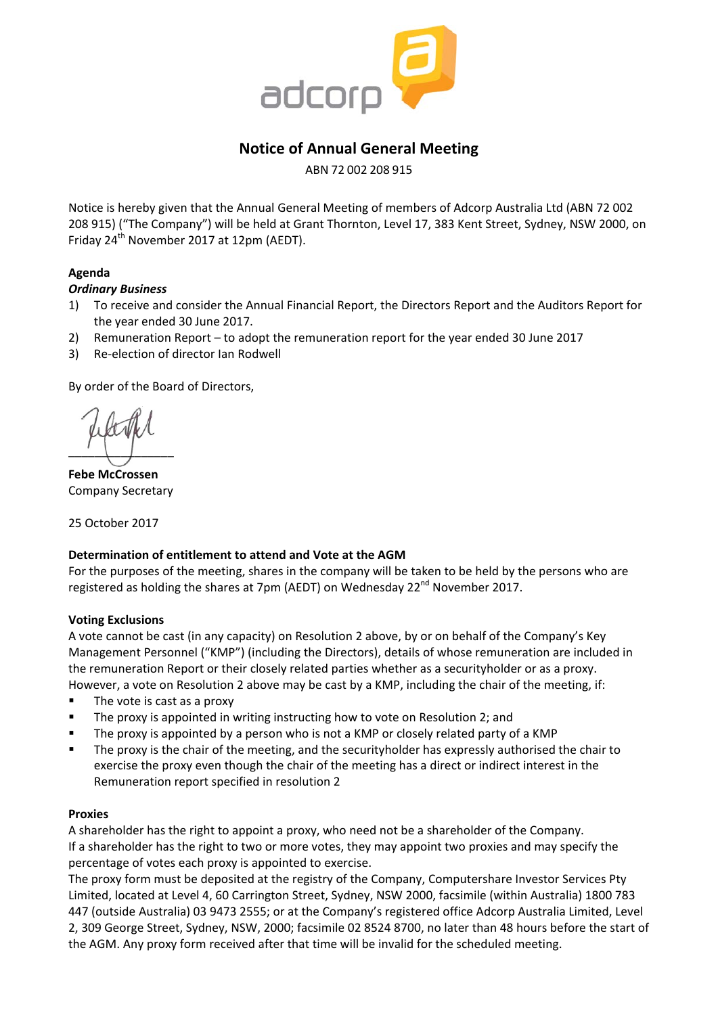

# **Notice of Annual General Meeting**

ABN 72 002 208 915

Notice is hereby given that the Annual General Meeting of members of Adcorp Australia Ltd (ABN 72 002 208 915) ("The Company") will be held at Grant Thornton, Level 17, 383 Kent Street, Sydney, NSW 2000, on Friday  $24^{th}$  November 2017 at 12pm (AEDT).

## **Agenda**

## *Ordinary Business*

- 1) To receive and consider the Annual Financial Report, the Directors Report and the Auditors Report for the year ended 30 June 2017.
- 2) Remuneration Report to adopt the remuneration report for the year ended 30 June 2017
- 3) Re-election of director Ian Rodwell

By order of the Board of Directors,

 $\frac{1}{2}$ 

**Febe McCrossen** Company Secretary

25 October 2017

## **Determination of entitlement to attend and Vote at the AGM**

For the purposes of the meeting, shares in the company will be taken to be held by the persons who are registered as holding the shares at 7pm (AEDT) on Wednesday 22<sup>nd</sup> November 2017.

## **Voting Exclusions**

A vote cannot be cast (in any capacity) on Resolution 2 above, by or on behalf of the Company's Key Management Personnel ("KMP") (including the Directors), details of whose remuneration are included in the remuneration Report or their closely related parties whether as a securityholder or as a proxy. However, a vote on Resolution 2 above may be cast by a KMP, including the chair of the meeting, if:

- $\blacksquare$  The vote is cast as a proxy
- **The proxy is appointed in writing instructing how to vote on Resolution 2; and**
- The proxy is appointed by a person who is not a KMP or closely related party of a KMP
- The proxy is the chair of the meeting, and the securityholder has expressly authorised the chair to exercise the proxy even though the chair of the meeting has a direct or indirect interest in the Remuneration report specified in resolution 2

## **Proxies**

A shareholder has the right to appoint a proxy, who need not be a shareholder of the Company. If a shareholder has the right to two or more votes, they may appoint two proxies and may specify the percentage of votes each proxy is appointed to exercise.

The proxy form must be deposited at the registry of the Company, Computershare Investor Services Pty Limited, located at Level 4, 60 Carrington Street, Sydney, NSW 2000, facsimile (within Australia) 1800 783 447 (outside Australia) 03 9473 2555; or at the Company's registered office Adcorp Australia Limited, Level 2, 309 George Street, Sydney, NSW, 2000; facsimile 02 8524 8700, no later than 48 hours before the start of the AGM. Any proxy form received after that time will be invalid for the scheduled meeting.